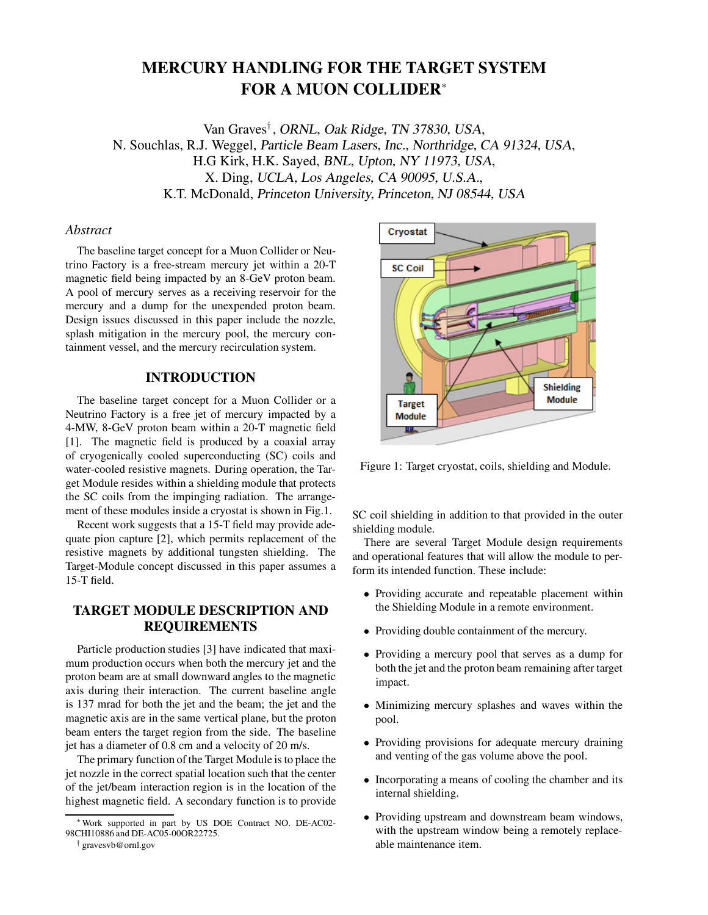# **MERCURY HANDLING FOR THE TARGET SYSTEM FOR A MUON COLLIDER**<sup>∗</sup>

Van Graves*†* , ORNL, Oak Ridge, TN 37830, USA, N. Souchlas, R.J. Weggel, Particle Beam Lasers, Inc., Northridge, CA 91324, USA, H.G Kirk, H.K. Sayed, BNL, Upton, NY 11973, USA, X. Ding, UCLA, Los Angeles, CA 90095, U.S.A., K.T. McDonald, Princeton University, Princeton, NJ 08544, USA

# *Abstract*

The baseline target concept for a Muon Collider or Neutrino Factory is a free-stream mercury jet within a 20-T magnetic field being impacted by an 8-GeV proton beam. A pool of mercury serves as a receiving reservoir for the mercury and a dump for the unexpended proton beam. Design issues discussed in this paper include the nozzle, splash mitigation in the mercury pool, the mercury containment vessel, and the mercury recirculation system.

# **INTRODUCTION**

The baseline target concept for a Muon Collider or a Neutrino Factory is a free jet of mercury impacted by a 4-MW, 8-GeV proton beam within a 20-T magnetic field [1]. The magnetic field is produced by a coaxial array of cryogenically cooled superconducting (SC) coils and water-cooled resistive magnets. During operation, the Target Module resides within a shielding module that protects the SC coils from the impinging radiation. The arrangement of these modules inside a cryostat is shown in Fig.1.

Recent work suggests that a 15-T field may provide adequate pion capture [2], which permits replacement of the resistive magnets by additional tungsten shielding. The Target-Module concept discussed in this paper assumes a 15-T field.

# **TARGET MODULE DESCRIPTION AND REQUIREMENTS**

Particle production studies [3] have indicated that maximum production occurs when both the mercury jet and the proton beam are at small downward angles to the magnetic axis during their interaction. The current baseline angle is 137 mrad for both the jet and the beam; the jet and the magnetic axis are in the same vertical plane, but the proton beam enters the target region from the side. The baseline jet has a diameter of 0.8 cm and a velocity of 20 m/s.

The primary function of the Target Module is to place the jet nozzle in the correct spatial location such that the center of the jet/beam interaction region is in the location of the highest magnetic field. A secondary function is to provide



Figure 1: Target cryostat, coils, shielding and Module.

SC coil shielding in addition to that provided in the outer shielding module.

There are several Target Module design requirements and operational features that will allow the module to perform its intended function. These include:

- Providing accurate and repeatable placement within the Shielding Module in a remote environment.
- Providing double containment of the mercury.
- Providing a mercury pool that serves as a dump for both the jet and the proton beam remaining after target impact.
- Minimizing mercury splashes and waves within the pool.
- Providing provisions for adequate mercury draining and venting of the gas volume above the pool.
- Incorporating a means of cooling the chamber and its internal shielding.
- Providing upstream and downstream beam windows, with the upstream window being a remotely replaceable maintenance item.

Work supported in part by US DOE Contract NO. DE-AC02-98CHI10886 and DE-AC05-00OR22725.

<sup>†</sup> gravesvb@ornl.gov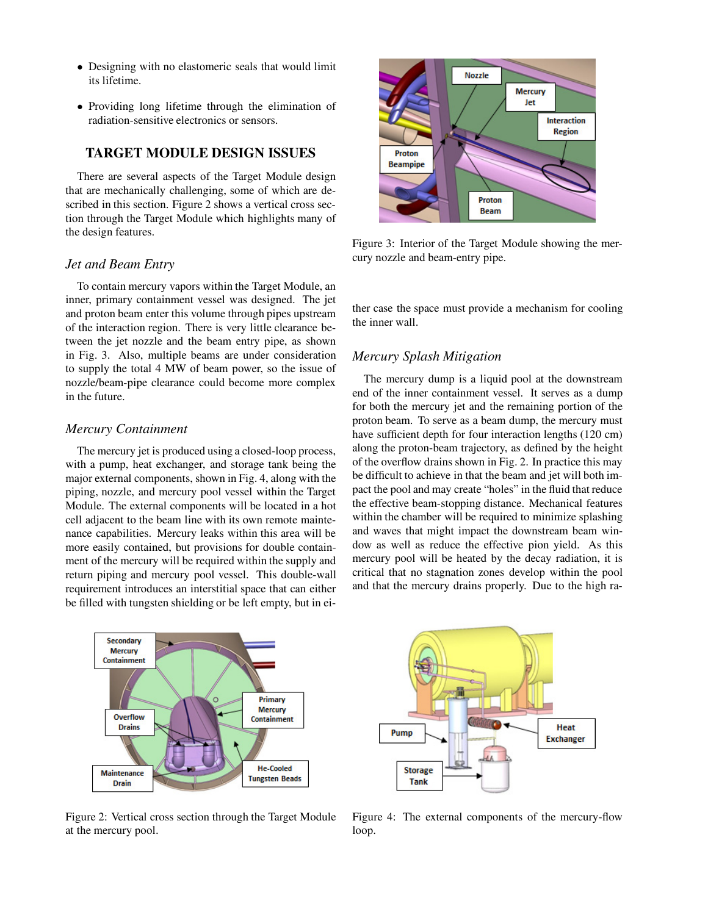- Designing with no elastomeric seals that would limit its lifetime.
- Providing long lifetime through the elimination of radiation-sensitive electronics or sensors.

# **TARGET MODULE DESIGN ISSUES**

There are several aspects of the Target Module design that are mechanically challenging, some of which are described in this section. Figure 2 shows a vertical cross section through the Target Module which highlights many of the design features.

#### *Jet and Beam Entry*

To contain mercury vapors within the Target Module, an inner, primary containment vessel was designed. The jet and proton beam enter this volume through pipes upstream of the interaction region. There is very little clearance between the jet nozzle and the beam entry pipe, as shown in Fig. 3. Also, multiple beams are under consideration to supply the total 4 MW of beam power, so the issue of nozzle/beam-pipe clearance could become more complex in the future.

#### *Mercury Containment*

The mercury jet is produced using a closed-loop process, with a pump, heat exchanger, and storage tank being the major external components, shown in Fig. 4, along with the piping, nozzle, and mercury pool vessel within the Target Module. The external components will be located in a hot cell adjacent to the beam line with its own remote maintenance capabilities. Mercury leaks within this area will be more easily contained, but provisions for double containment of the mercury will be required within the supply and return piping and mercury pool vessel. This double-wall requirement introduces an interstitial space that can either be filled with tungsten shielding or be left empty, but in ei-



Figure 2: Vertical cross section through the Target Module at the mercury pool.



Figure 3: Interior of the Target Module showing the mercury nozzle and beam-entry pipe.

ther case the space must provide a mechanism for cooling the inner wall.

# *Mercury Splash Mitigation*

The mercury dump is a liquid pool at the downstream end of the inner containment vessel. It serves as a dump for both the mercury jet and the remaining portion of the proton beam. To serve as a beam dump, the mercury must have sufficient depth for four interaction lengths (120 cm) along the proton-beam trajectory, as defined by the height of the overflow drains shown in Fig. 2. In practice this may be difficult to achieve in that the beam and jet will both impact the pool and may create "holes" in the fluid that reduce the effective beam-stopping distance. Mechanical features within the chamber will be required to minimize splashing and waves that might impact the downstream beam window as well as reduce the effective pion yield. As this mercury pool will be heated by the decay radiation, it is critical that no stagnation zones develop within the pool and that the mercury drains properly. Due to the high ra-



Figure 4: The external components of the mercury-flow loop.